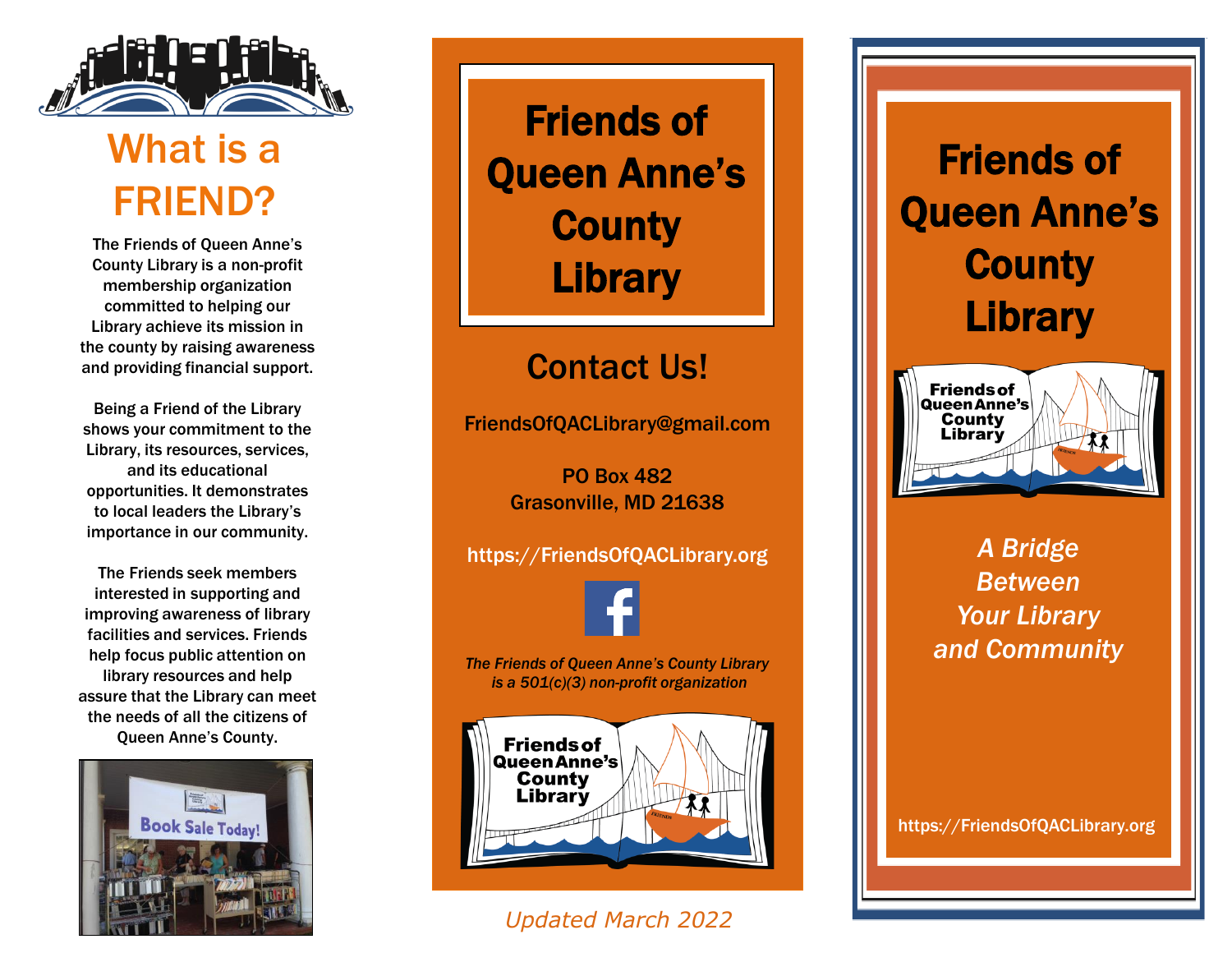

## What is a FRIEND?

The Friends of Queen Anne's County Library is a non-profit membership organization committed to helping our Library achieve its mission in the county by raising awareness and providing financial support.

Being a Friend of the Library shows your commitment to the Library, its resources, services, and its educational opportunities. It demonstrates to local leaders the Library's importance in our community.

The Friends seek members interested in supporting and improving awareness of library facilities and services. Friends help focus public attention on library resources and help assure that the Library can meet the needs of all the citizens of Queen Anne's County.



Friends of Queen Anne's **County Library** 

### Contact Us!

FriendsOfQACLibrary@gmail.com

PO Box 482 Grasonville, MD 21638

https://FriendsOfQACLibrary.org

*The Friends of Queen Anne's County Library is a 501(c)(3) non-profit organization*



### *Updated March 2022*

# Friends of Queen Anne's **County Library**



*A Bridge Between Your Library and Community*

https://FriendsOfQACLibrary.org